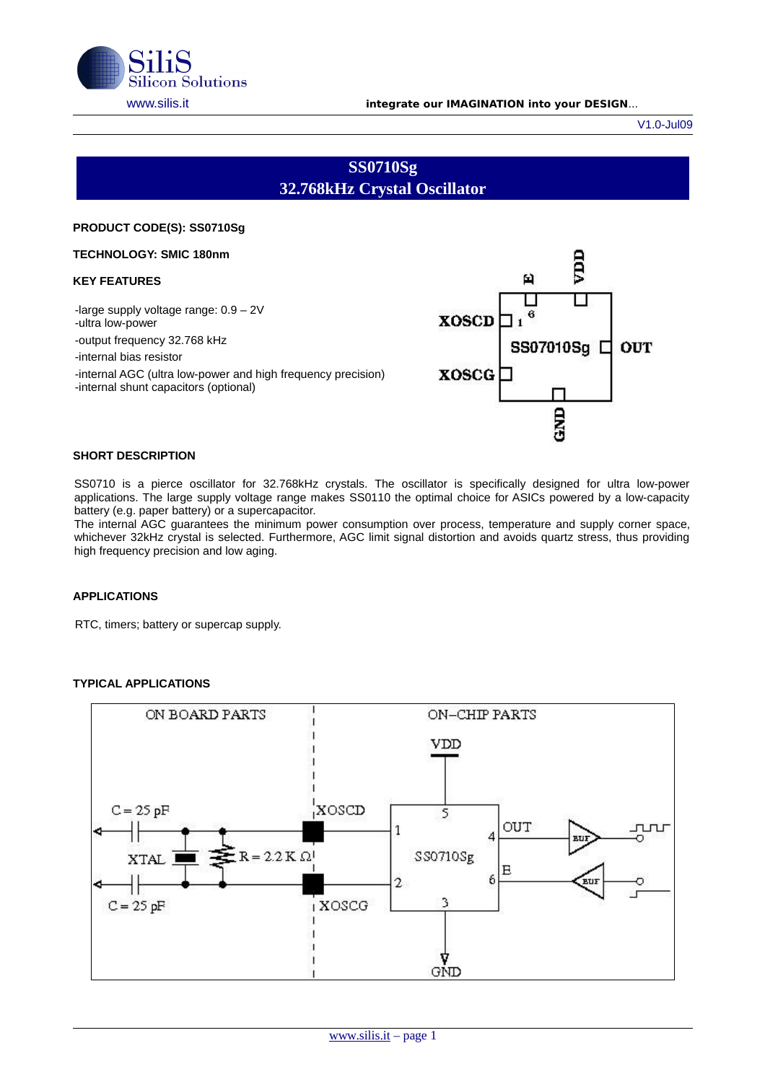

#### [www.silis.it](http://www.silis.it/) **integrate our IMAGINATION into your DESIGN**...

V1.0-Jul09

# **SS0710Sg 32.768kHz Crystal Oscillator**

### **PRODUCT CODE(S): SS0710Sg**

**TECHNOLOGY: SMIC 180nm** 

#### **KEY FEATURES**

-large supply voltage range: 0.9 – 2V -ultra low-power -output frequency 32.768 kHz -internal bias resistor -internal AGC (ultra low-power and high frequency precision) -internal shunt capacitors (optional)



## **SHORT DESCRIPTION**

SS0710 is a pierce oscillator for 32.768kHz crystals. The oscillator is specifically designed for ultra low-power applications. The large supply voltage range makes SS0110 the optimal choice for ASICs powered by a low-capacity battery (e.g. paper battery) or a supercapacitor.

The internal AGC guarantees the minimum power consumption over process, temperature and supply corner space, whichever 32kHz crystal is selected. Furthermore, AGC limit signal distortion and avoids quartz stress, thus providing high frequency precision and low aging.

## **APPLICATIONS**

RTC, timers; battery or supercap supply.

## **TYPICAL APPLICATIONS**

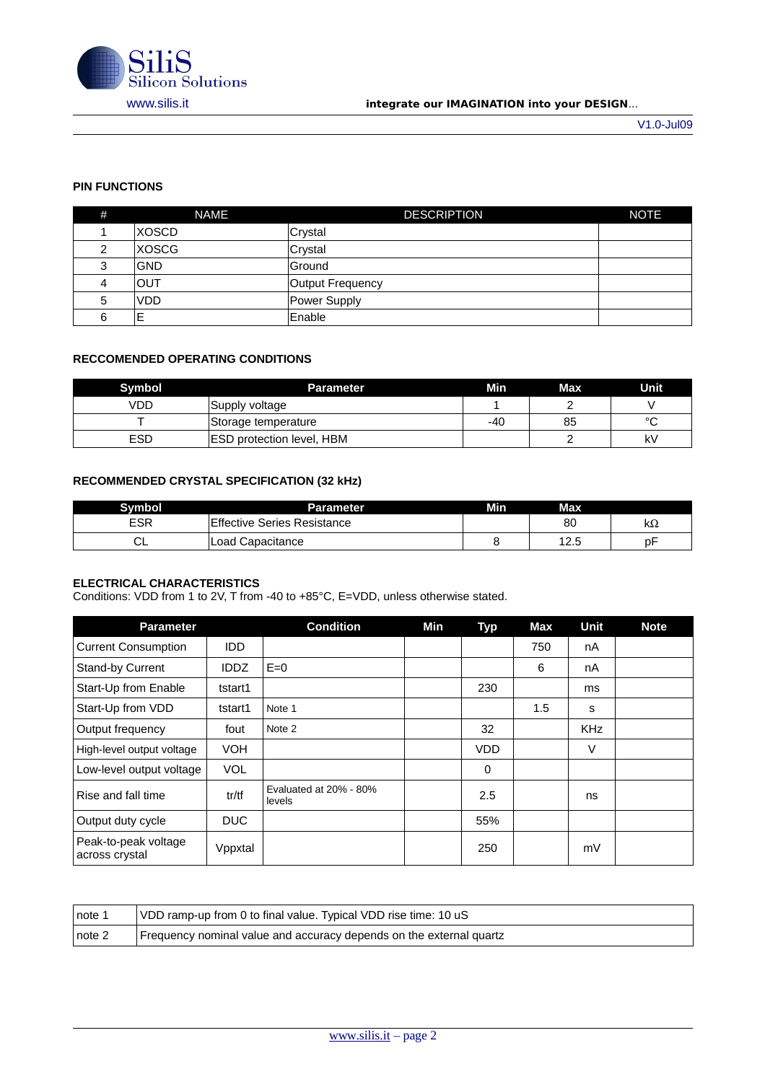

## [www.silis.it](http://www.silis.it/) **integrate our IMAGINATION into your DESIGN**...

# **PIN FUNCTIONS**

| # | <b>NAME</b>  | <b>DESCRIPTION</b> | <b>NOTE</b> |
|---|--------------|--------------------|-------------|
|   | <b>XOSCD</b> | Crystal            |             |
| າ | XOSCG        | Crystal            |             |
| 3 | <b>GND</b>   | Ground             |             |
| 4 | <b>IOUT</b>  | Output Frequency   |             |
| 5 | <b>VDD</b>   | Power Supply       |             |
| 6 | Е            | Enable             |             |

# **RECCOMENDED OPERATING CONDITIONS**

| Symbol     | <b>Parameter</b>                 | Min | Max | Unit    |
|------------|----------------------------------|-----|-----|---------|
| VDD        | Supply voltage                   |     |     |         |
|            | Storage temperature              | -40 | 85  | $\circ$ |
| <b>ESD</b> | <b>ESD protection level, HBM</b> |     |     | k٧      |

## **RECOMMENDED CRYSTAL SPECIFICATION (32 kHz)**

| Svmbol | Parameter                   | Min | Max          |    |
|--------|-----------------------------|-----|--------------|----|
| ESR    | Effective Series Resistance |     | 80           | kΩ |
| ◡∟     | Load Capacitance            |     | 1つ に<br>⊥∠.J | рF |

## **ELECTRICAL CHARACTERISTICS**

Conditions: VDD from 1 to 2V, T from -40 to +85°C, E=VDD, unless otherwise stated.

| <b>Parameter</b>                       |             | <b>Condition</b>                 | Min | <b>Typ</b> | Max | Unit       | <b>Note</b> |
|----------------------------------------|-------------|----------------------------------|-----|------------|-----|------------|-------------|
| <b>Current Consumption</b>             | <b>IDD</b>  |                                  |     |            | 750 | nA         |             |
| Stand-by Current                       | <b>IDDZ</b> | $E=0$                            |     |            | 6   | nA         |             |
| Start-Up from Enable                   | tstart1     |                                  |     | 230        |     | ms         |             |
| Start-Up from VDD                      | tstart1     | Note 1                           |     |            | 1.5 | S          |             |
| Output frequency                       | fout        | Note 2                           |     | 32         |     | <b>KHz</b> |             |
| High-level output voltage              | <b>VOH</b>  |                                  |     | <b>VDD</b> |     | V          |             |
| Low-level output voltage               | <b>VOL</b>  |                                  |     | 0          |     |            |             |
| Rise and fall time                     | tr/tf       | Evaluated at 20% - 80%<br>levels |     | 2.5        |     | ns         |             |
| Output duty cycle                      | <b>DUC</b>  |                                  |     | 55%        |     |            |             |
| Peak-to-peak voltage<br>across crystal | Vppxtal     |                                  |     | 250        |     | mV         |             |

| note 1     | VDD ramp-up from 0 to final value. Typical VDD rise time: 10 uS     |
|------------|---------------------------------------------------------------------|
| $ $ note 2 | Frequency nominal value and accuracy depends on the external quartz |